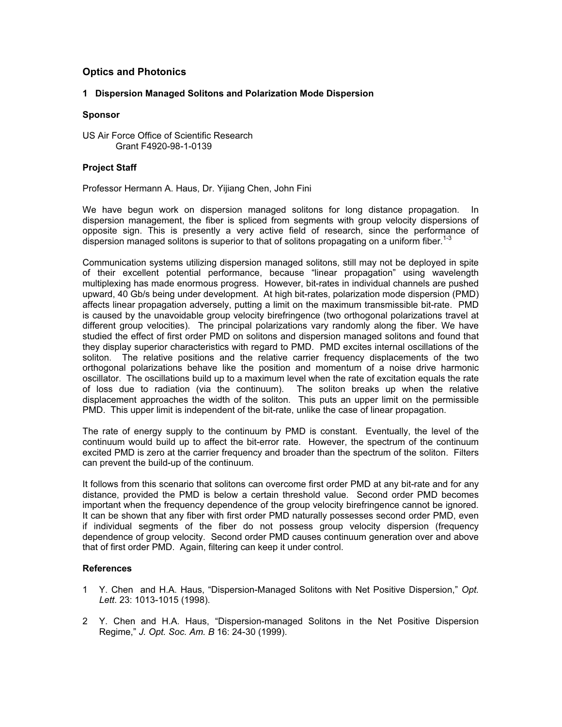# Optics and Photonics

## 1 Dispersion Managed Solitons and Polarization Mode Dispersion

### Sponsor

US Air Force Office of Scientific Research Grant F4920-98-1-0139

### Project Staff

Professor Hermann A. Haus, Dr. Yijiang Chen, John Fini

We have begun work on dispersion managed solitons for long distance propagation. In dispersion management, the fiber is spliced from segments with group velocity dispersions of opposite sign. This is presently a very active field of research, since the performance of dispersion managed solitons is superior to that of solitons propagating on a uniform fiber.<sup>1-3</sup>

Communication systems utilizing dispersion managed solitons, still may not be deployed in spite of their excellent potential performance, because "linear propagation" using wavelength multiplexing has made enormous progress. However, bit-rates in individual channels are pushed upward, 40 Gb/s being under development. At high bit-rates, polarization mode dispersion (PMD) affects linear propagation adversely, putting a limit on the maximum transmissible bit-rate. PMD is caused by the unavoidable group velocity birefringence (two orthogonal polarizations travel at different group velocities). The principal polarizations vary randomly along the fiber. We have studied the effect of first order PMD on solitons and dispersion managed solitons and found that they display superior characteristics with regard to PMD. PMD excites internal oscillations of the soliton. The relative positions and the relative carrier frequency displacements of the two orthogonal polarizations behave like the position and momentum of a noise drive harmonic oscillator. The oscillations build up to a maximum level when the rate of excitation equals the rate of loss due to radiation (via the continuum). The soliton breaks up when the relative displacement approaches the width of the soliton. This puts an upper limit on the permissible PMD. This upper limit is independent of the bit-rate, unlike the case of linear propagation.

The rate of energy supply to the continuum by PMD is constant. Eventually, the level of the continuum would build up to affect the bit-error rate. However, the spectrum of the continuum excited PMD is zero at the carrier frequency and broader than the spectrum of the soliton. Filters can prevent the build-up of the continuum.

It follows from this scenario that solitons can overcome first order PMD at any bit-rate and for any distance, provided the PMD is below a certain threshold value. Second order PMD becomes important when the frequency dependence of the group velocity birefringence cannot be ignored. It can be shown that any fiber with first order PMD naturally possesses second order PMD, even if individual segments of the fiber do not possess group velocity dispersion (frequency dependence of group velocity. Second order PMD causes continuum generation over and above that of first order PMD. Again, filtering can keep it under control.

- 1 Y. Chen and H.A. Haus, "Dispersion-Managed Solitons with Net Positive Dispersion," Opt. Lett. 23: 1013-1015 (1998).
- 2 Y. Chen and H.A. Haus, "Dispersion-managed Solitons in the Net Positive Dispersion Regime," J. Opt. Soc. Am. B 16: 24-30 (1999).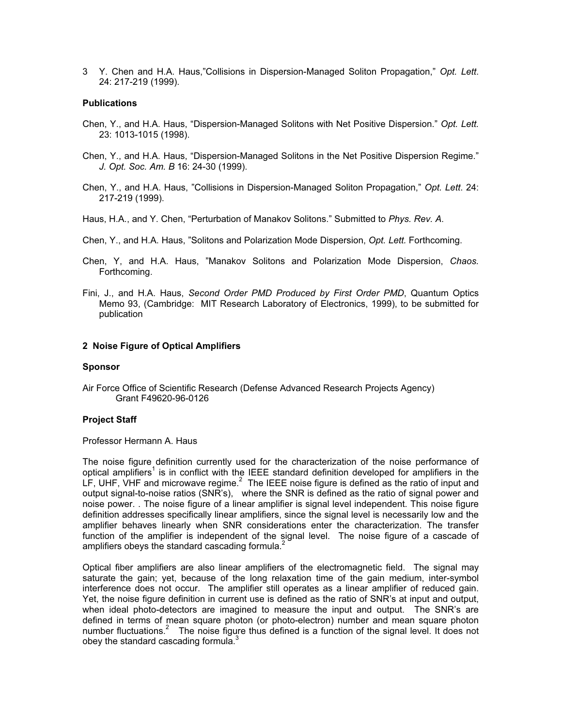3 Y. Chen and H.A. Haus,"Collisions in Dispersion-Managed Soliton Propagation," Opt. Lett. 24: 217-219 (1999).

#### **Publications**

- Chen, Y., and H.A. Haus, "Dispersion-Managed Solitons with Net Positive Dispersion." Opt. Lett. 23: 1013-1015 (1998).
- Chen, Y., and H.A. Haus, "Dispersion-Managed Solitons in the Net Positive Dispersion Regime." J. Opt. Soc. Am. B 16: 24-30 (1999).
- Chen, Y., and H.A. Haus, "Collisions in Dispersion-Managed Soliton Propagation," Opt. Lett. 24: 217-219 (1999).
- Haus, H.A., and Y. Chen, "Perturbation of Manakov Solitons." Submitted to Phys. Rev. A.
- Chen, Y., and H.A. Haus, "Solitons and Polarization Mode Dispersion, Opt. Lett. Forthcoming.
- Chen, Y, and H.A. Haus, "Manakov Solitons and Polarization Mode Dispersion, Chaos. Forthcoming.
- Fini, J., and H.A. Haus, Second Order PMD Produced by First Order PMD, Quantum Optics Memo 93, (Cambridge: MIT Research Laboratory of Electronics, 1999), to be submitted for publication

#### 2 Noise Figure of Optical Amplifiers

#### Sponsor

Air Force Office of Scientific Research (Defense Advanced Research Projects Agency) Grant F49620-96-0126

#### Project Staff

Professor Hermann A. Haus

The noise figure definition currently used for the characterization of the noise performance of optical amplifiers<sup>1</sup> is in conflict with the IEEE standard definition developed for amplifiers in the LF, UHF, VHF and microwave regime.<sup>2</sup> The IEEE noise figure is defined as the ratio of input and output signal-to-noise ratios (SNR's), where the SNR is defined as the ratio of signal power and noise power. . The noise figure of a linear amplifier is signal level independent. This noise figure definition addresses specifically linear amplifiers, since the signal level is necessarily low and the amplifier behaves linearly when SNR considerations enter the characterization. The transfer function of the amplifier is independent of the signal level. The noise figure of a cascade of amplifiers obeys the standard cascading formula. $^2$ 

Optical fiber amplifiers are also linear amplifiers of the electromagnetic field. The signal may saturate the gain; yet, because of the long relaxation time of the gain medium, inter-symbol interference does not occur. The amplifier still operates as a linear amplifier of reduced gain. Yet, the noise figure definition in current use is defined as the ratio of SNR's at input and output, when ideal photo-detectors are imagined to measure the input and output. The SNR's are defined in terms of mean square photon (or photo-electron) number and mean square photon number fluctuations.<sup>2</sup> The noise figure thus defined is a function of the signal level. It does not obey the standard cascading formula. $3$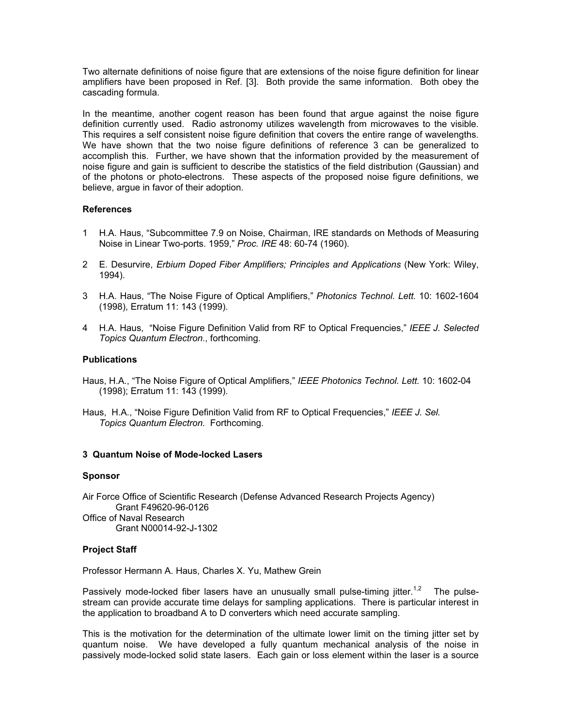Two alternate definitions of noise figure that are extensions of the noise figure definition for linear amplifiers have been proposed in Ref. [3]. Both provide the same information. Both obey the cascading formula.

In the meantime, another cogent reason has been found that argue against the noise figure definition currently used. Radio astronomy utilizes wavelength from microwaves to the visible. This requires a self consistent noise figure definition that covers the entire range of wavelengths. We have shown that the two noise figure definitions of reference 3 can be generalized to accomplish this. Further, we have shown that the information provided by the measurement of noise figure and gain is sufficient to describe the statistics of the field distribution (Gaussian) and of the photons or photo-electrons. These aspects of the proposed noise figure definitions, we believe, argue in favor of their adoption.

## References

- 1 H.A. Haus, "Subcommittee 7.9 on Noise, Chairman, IRE standards on Methods of Measuring Noise in Linear Two-ports. 1959," Proc. IRE 48: 60-74 (1960).
- 2 E. Desurvire, Erbium Doped Fiber Amplifiers; Principles and Applications (New York: Wiley, 1994).
- 3 H.A. Haus, "The Noise Figure of Optical Amplifiers," Photonics Technol. Lett. 10: 1602-1604 (1998), Erratum 11: 143 (1999).
- 4 H.A. Haus, "Noise Figure Definition Valid from RF to Optical Frequencies," IEEE J. Selected Topics Quantum Electron., forthcoming.

## **Publications**

- Haus, H.A., "The Noise Figure of Optical Amplifiers," IEEE Photonics Technol. Lett. 10: 1602-04 (1998); Erratum 11: 143 (1999).
- Haus, H.A., "Noise Figure Definition Valid from RF to Optical Frequencies," IEEE J. Sel. Topics Quantum Electron. Forthcoming.

# 3 Quantum Noise of Mode-locked Lasers

### Sponsor

Air Force Office of Scientific Research (Defense Advanced Research Projects Agency) Grant F49620-96-0126 Office of Naval Research Grant N00014-92-J-1302

# Project Staff

Professor Hermann A. Haus, Charles X. Yu, Mathew Grein

Passively mode-locked fiber lasers have an unusually small pulse-timing jitter.<sup>1,2</sup> The pulsestream can provide accurate time delays for sampling applications. There is particular interest in the application to broadband A to D converters which need accurate sampling.

This is the motivation for the determination of the ultimate lower limit on the timing jitter set by quantum noise. We have developed a fully quantum mechanical analysis of the noise in passively mode-locked solid state lasers. Each gain or loss element within the laser is a source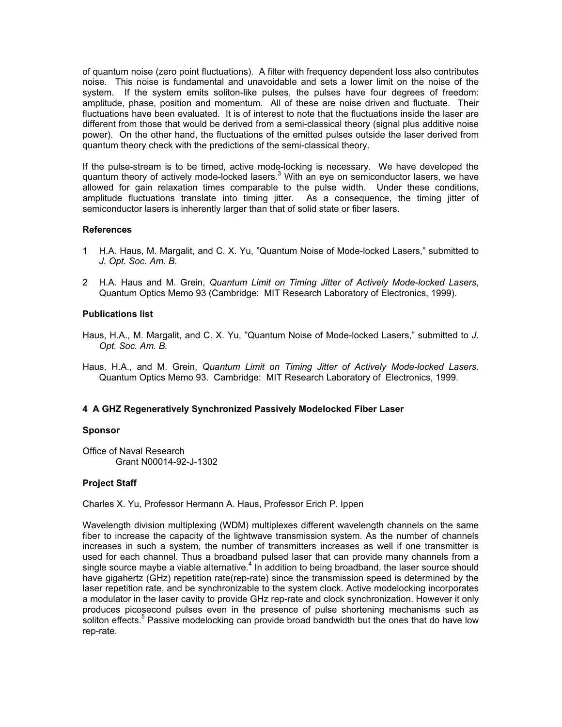of quantum noise (zero point fluctuations). A filter with frequency dependent loss also contributes noise. This noise is fundamental and unavoidable and sets a lower limit on the noise of the system. If the system emits soliton-like pulses, the pulses have four degrees of freedom: amplitude, phase, position and momentum. All of these are noise driven and fluctuate. Their fluctuations have been evaluated. It is of interest to note that the fluctuations inside the laser are different from those that would be derived from a semi-classical theory (signal plus additive noise power). On the other hand, the fluctuations of the emitted pulses outside the laser derived from quantum theory check with the predictions of the semi-classical theory.

If the pulse-stream is to be timed, active mode-locking is necessary. We have developed the quantum theory of actively mode-locked lasers.<sup>3</sup> With an eye on semiconductor lasers, we have allowed for gain relaxation times comparable to the pulse width. Under these conditions, amplitude fluctuations translate into timing jitter. As a consequence, the timing jitter of semiconductor lasers is inherently larger than that of solid state or fiber lasers.

### References

- 1 H.A. Haus, M. Margalit, and C. X. Yu, "Quantum Noise of Mode-locked Lasers," submitted to J. Opt. Soc. Am. B.
- 2 H.A. Haus and M. Grein, Quantum Limit on Timing Jitter of Actively Mode-locked Lasers, Quantum Optics Memo 93 (Cambridge: MIT Research Laboratory of Electronics, 1999).

## Publications list

- Haus, H.A., M. Margalit, and C. X. Yu, "Quantum Noise of Mode-locked Lasers," submitted to J. Opt. Soc. Am. B.
- Haus, H.A., and M. Grein, Quantum Limit on Timing Jitter of Actively Mode-locked Lasers. Quantum Optics Memo 93. Cambridge: MIT Research Laboratory of Electronics, 1999.

### 4 A GHZ Regeneratively Synchronized Passively Modelocked Fiber Laser

### Sponsor

Office of Naval Research Grant N00014-92-J-1302

### Project Staff

Charles X. Yu, Professor Hermann A. Haus, Professor Erich P. Ippen

Wavelength division multiplexing (WDM) multiplexes different wavelength channels on the same fiber to increase the capacity of the lightwave transmission system. As the number of channels increases in such a system, the number of transmitters increases as well if one transmitter is used for each channel. Thus a broadband pulsed laser that can provide many channels from a single source maybe a viable alternative. $4$  In addition to being broadband, the laser source should have gigahertz (GHz) repetition rate(rep-rate) since the transmission speed is determined by the laser repetition rate, and be synchronizable to the system clock. Active modelocking incorporates a modulator in the laser cavity to provide GHz rep-rate and clock synchronization. However it only produces picosecond pulses even in the presence of pulse shortening mechanisms such as soliton effects.<sup>5</sup> Passive modelocking can provide broad bandwidth but the ones that do have low rep-rate.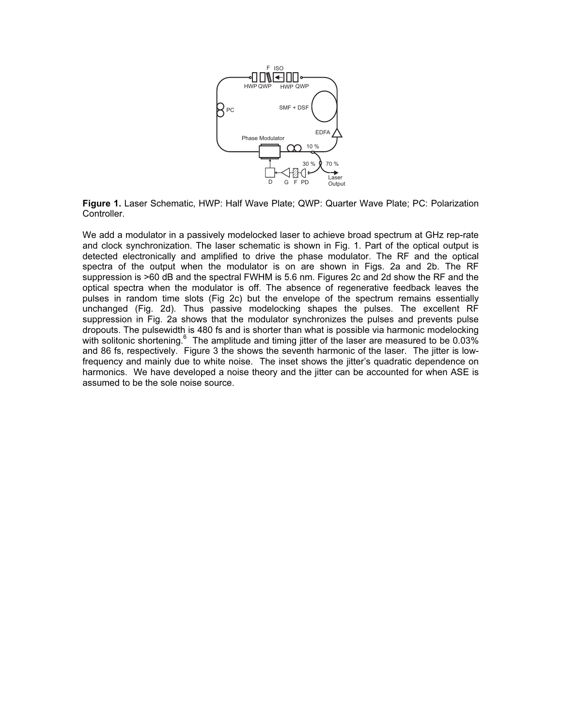

Figure 1. Laser Schematic, HWP: Half Wave Plate; QWP: Quarter Wave Plate; PC: Polarization Controller.

We add a modulator in a passively modelocked laser to achieve broad spectrum at GHz rep-rate and clock synchronization. The laser schematic is shown in Fig. 1. Part of the optical output is detected electronically and amplified to drive the phase modulator. The RF and the optical spectra of the output when the modulator is on are shown in Figs. 2a and 2b. The RF suppression is >60 dB and the spectral FWHM is 5.6 nm. Figures 2c and 2d show the RF and the optical spectra when the modulator is off. The absence of regenerative feedback leaves the pulses in random time slots (Fig 2c) but the envelope of the spectrum remains essentially unchanged (Fig. 2d). Thus passive modelocking shapes the pulses. The excellent RF suppression in Fig. 2a shows that the modulator synchronizes the pulses and prevents pulse dropouts. The pulsewidth is 480 fs and is shorter than what is possible via harmonic modelocking with solitonic shortening.  $6$  The amplitude and timing jitter of the laser are measured to be 0.03% and 86 fs, respectively. Figure 3 the shows the seventh harmonic of the laser. The jitter is lowfrequency and mainly due to white noise. The inset shows the jitter's quadratic dependence on harmonics. We have developed a noise theory and the jitter can be accounted for when ASE is assumed to be the sole noise source.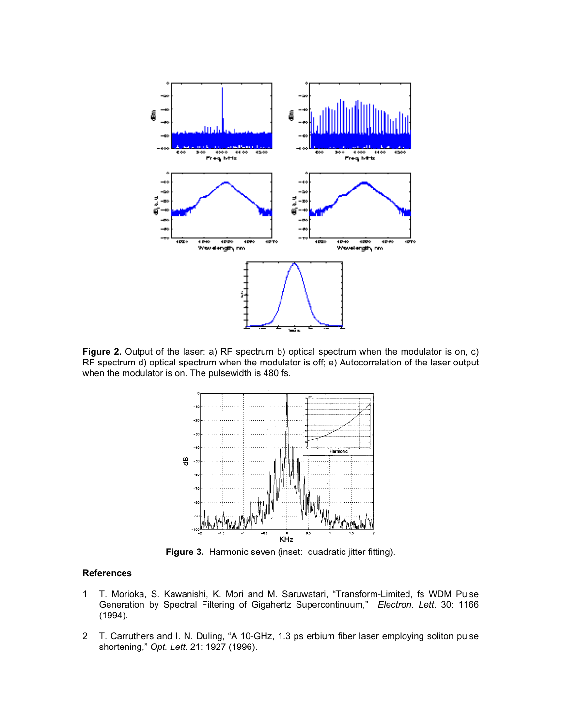

Figure 2. Output of the laser: a) RF spectrum b) optical spectrum when the modulator is on, c) RF spectrum d) optical spectrum when the modulator is off; e) Autocorrelation of the laser output when the modulator is on. The pulsewidth is 480 fs.



Figure 3. Harmonic seven (inset: quadratic jitter fitting).

- 1 T. Morioka, S. Kawanishi, K. Mori and M. Saruwatari, "Transform-Limited, fs WDM Pulse Generation by Spectral Filtering of Gigahertz Supercontinuum," Electron. Lett. 30: 1166 (1994).
- 2 T. Carruthers and I. N. Duling, "A 10-GHz, 1.3 ps erbium fiber laser employing soliton pulse shortening," Opt. Lett. 21: 1927 (1996).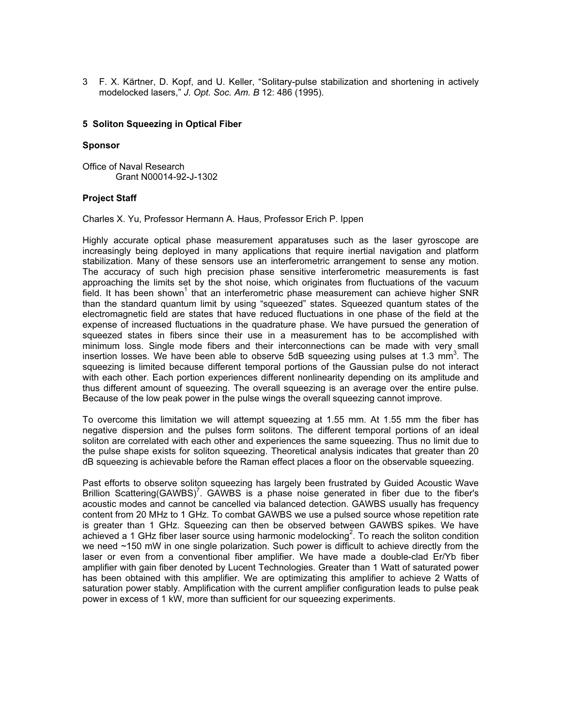3 F. X. Kärtner, D. Kopf, and U. Keller, "Solitary-pulse stabilization and shortening in actively modelocked lasers," J. Opt. Soc. Am. B 12: 486 (1995).

#### 5 Soliton Squeezing in Optical Fiber

#### **Sponsor**

Office of Naval Research Grant N00014-92-J-1302

### Project Staff

Charles X. Yu, Professor Hermann A. Haus, Professor Erich P. Ippen

Highly accurate optical phase measurement apparatuses such as the laser gyroscope are increasingly being deployed in many applications that require inertial navigation and platform stabilization. Many of these sensors use an interferometric arrangement to sense any motion. The accuracy of such high precision phase sensitive interferometric measurements is fast approaching the limits set by the shot noise, which originates from fluctuations of the vacuum tield. It has been shown<sup>1</sup> that an interferometric phase measurement can achieve higher SNR than the standard quantum limit by using "squeezed" states. Squeezed quantum states of the electromagnetic field are states that have reduced fluctuations in one phase of the field at the expense of increased fluctuations in the quadrature phase. We have pursued the generation of squeezed states in fibers since their use in a measurement has to be accomplished with minimum loss. Single mode fibers and their interconnections can be made with very small insertion losses. We have been able to observe 5dB squeezing using pulses at 1.3 mm<sup>3</sup>. The squeezing is limited because different temporal portions of the Gaussian pulse do not interact with each other. Each portion experiences different nonlinearity depending on its amplitude and thus different amount of squeezing. The overall squeezing is an average over the entire pulse. Because of the low peak power in the pulse wings the overall squeezing cannot improve.

To overcome this limitation we will attempt squeezing at 1.55 mm. At 1.55 mm the fiber has negative dispersion and the pulses form solitons. The different temporal portions of an ideal soliton are correlated with each other and experiences the same squeezing. Thus no limit due to the pulse shape exists for soliton squeezing. Theoretical analysis indicates that greater than 20 dB squeezing is achievable before the Raman effect places a floor on the observable squeezing.

Past efforts to observe soliton squeezing has largely been frustrated by Guided Acoustic Wave Brillion Scattering(GAWBS)<sup>7</sup>. GAWBS is a phase noise generated in fiber due to the fiber's acoustic modes and cannot be cancelled via balanced detection. GAWBS usually has frequency content from 20 MHz to 1 GHz. To combat GAWBS we use a pulsed source whose repetition rate is greater than 1 GHz. Squeezing can then be observed between GAWBS spikes. We have achieved a 1 GHz fiber laser source using harmonic modelocking<sup>2</sup>. To reach the soliton condition we need ~150 mW in one single polarization. Such power is difficult to achieve directly from the laser or even from a conventional fiber amplifier. We have made a double-clad Er/Yb fiber amplifier with gain fiber denoted by Lucent Technologies. Greater than 1 Watt of saturated power has been obtained with this amplifier. We are optimizating this amplifier to achieve 2 Watts of saturation power stably. Amplification with the current amplifier configuration leads to pulse peak power in excess of 1 kW, more than sufficient for our squeezing experiments.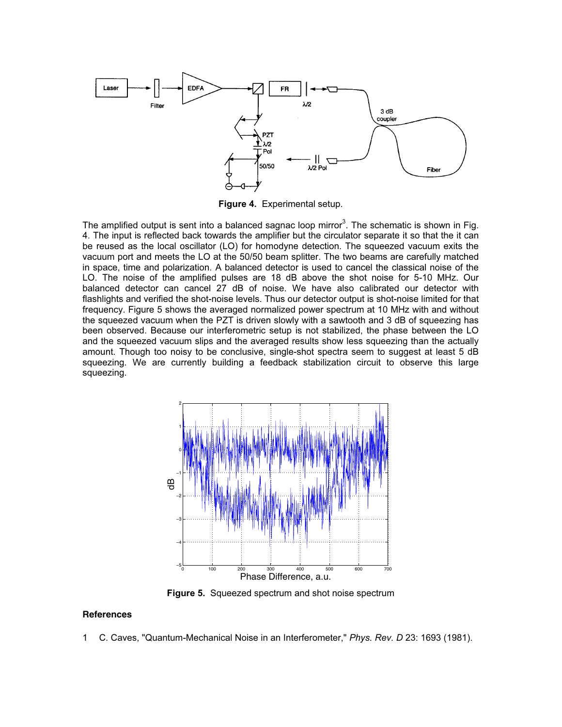

Figure 4. Experimental setup.

The amplified output is sent into a balanced sagnac loop mirror<sup>3</sup>. The schematic is shown in Fig. 4. The input is reflected back towards the amplifier but the circulator separate it so that the it can be reused as the local oscillator (LO) for homodyne detection. The squeezed vacuum exits the vacuum port and meets the LO at the 50/50 beam splitter. The two beams are carefully matched in space, time and polarization. A balanced detector is used to cancel the classical noise of the LO. The noise of the amplified pulses are 18 dB above the shot noise for 5-10 MHz. Our balanced detector can cancel 27 dB of noise. We have also calibrated our detector with flashlights and verified the shot-noise levels. Thus our detector output is shot-noise limited for that frequency. Figure 5 shows the averaged normalized power spectrum at 10 MHz with and without the squeezed vacuum when the PZT is driven slowly with a sawtooth and 3 dB of squeezing has been observed. Because our interferometric setup is not stabilized, the phase between the LO and the squeezed vacuum slips and the averaged results show less squeezing than the actually amount. Though too noisy to be conclusive, single-shot spectra seem to suggest at least 5 dB squeezing. We are currently building a feedback stabilization circuit to observe this large squeezing.



Figure 5. Squeezed spectrum and shot noise spectrum

### **References**

1 C. Caves, "Quantum-Mechanical Noise in an Interferometer," Phys. Rev. D 23: 1693 (1981).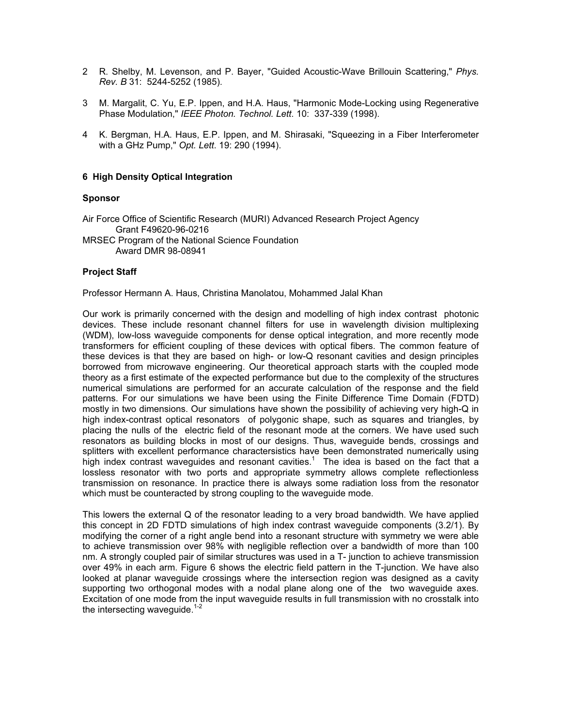- 2 R. Shelby, M. Levenson, and P. Bayer, "Guided Acoustic-Wave Brillouin Scattering," Phys. Rev. B 31: 5244-5252 (1985).
- 3 M. Margalit, C. Yu, E.P. Ippen, and H.A. Haus, "Harmonic Mode-Locking using Regenerative Phase Modulation," IEEE Photon. Technol. Lett. 10: 337-339 (1998).
- 4 K. Bergman, H.A. Haus, E.P. Ippen, and M. Shirasaki, "Squeezing in a Fiber Interferometer with a GHz Pump," Opt. Lett. 19: 290 (1994).

### 6 High Density Optical Integration

#### Sponsor

Air Force Office of Scientific Research (MURI) Advanced Research Project Agency Grant F49620-96-0216 MRSEC Program of the National Science Foundation Award DMR 98-08941

### Project Staff

Professor Hermann A. Haus, Christina Manolatou, Mohammed Jalal Khan

Our work is primarily concerned with the design and modelling of high index contrast photonic devices. These include resonant channel filters for use in wavelength division multiplexing (WDM), low-loss waveguide components for dense optical integration, and more recently mode transformers for efficient coupling of these devices with optical fibers. The common feature of these devices is that they are based on high- or low-Q resonant cavities and design principles borrowed from microwave engineering. Our theoretical approach starts with the coupled mode theory as a first estimate of the expected performance but due to the complexity of the structures numerical simulations are performed for an accurate calculation of the response and the field patterns. For our simulations we have been using the Finite Difference Time Domain (FDTD) mostly in two dimensions. Our simulations have shown the possibility of achieving very high-Q in high index-contrast optical resonators of polygonic shape, such as squares and triangles, by placing the nulls of the electric field of the resonant mode at the corners. We have used such resonators as building blocks in most of our designs. Thus, waveguide bends, crossings and splitters with excellent performance charactersistics have been demonstrated numerically using high index contrast waveguides and resonant cavities.<sup>1</sup> The idea is based on the fact that a lossless resonator with two ports and appropriate symmetry allows complete reflectionless transmission on resonance. In practice there is always some radiation loss from the resonator which must be counteracted by strong coupling to the waveguide mode.

This lowers the external Q of the resonator leading to a very broad bandwidth. We have applied this concept in 2D FDTD simulations of high index contrast waveguide components (3.2/1). By modifying the corner of a right angle bend into a resonant structure with symmetry we were able to achieve transmission over 98% with negligible reflection over a bandwidth of more than 100 nm. A strongly coupled pair of similar structures was used in a T- junction to achieve transmission over 49% in each arm. Figure 6 shows the electric field pattern in the T-junction. We have also looked at planar waveguide crossings where the intersection region was designed as a cavity supporting two orthogonal modes with a nodal plane along one of the two waveguide axes. Excitation of one mode from the input waveguide results in full transmission with no crosstalk into the intersecting waveguide.<sup>1-2</sup>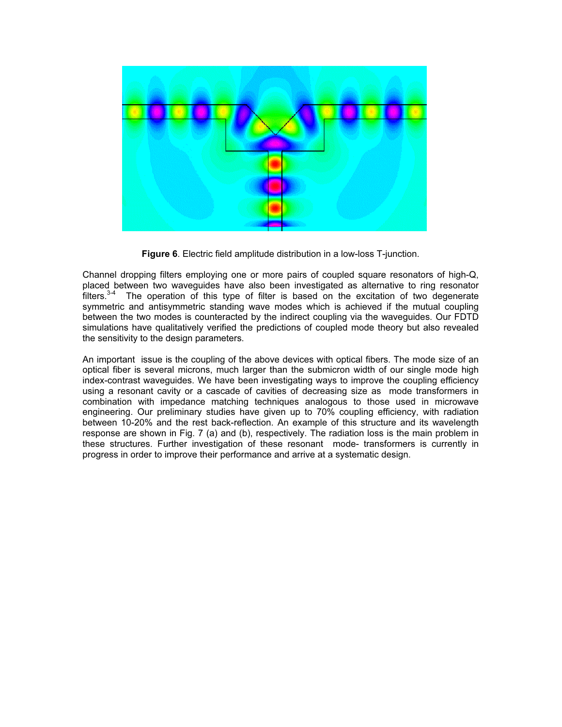

Figure 6. Electric field amplitude distribution in a low-loss T-junction.

Channel dropping filters employing one or more pairs of coupled square resonators of high-Q, placed between two waveguides have also been investigated as alternative to ring resonator  $f$  filters.<sup>3-4</sup> The operation of this type of filter is based on the excitation of two degenerate symmetric and antisymmetric standing wave modes which is achieved if the mutual coupling between the two modes is counteracted by the indirect coupling via the waveguides. Our FDTD simulations have qualitatively verified the predictions of coupled mode theory but also revealed the sensitivity to the design parameters.

An important issue is the coupling of the above devices with optical fibers. The mode size of an optical fiber is several microns, much larger than the submicron width of our single mode high index-contrast waveguides. We have been investigating ways to improve the coupling efficiency using a resonant cavity or a cascade of cavities of decreasing size as mode transformers in combination with impedance matching techniques analogous to those used in microwave engineering. Our preliminary studies have given up to 70% coupling efficiency, with radiation between 10-20% and the rest back-reflection. An example of this structure and its wavelength response are shown in Fig. 7 (a) and (b), respectively. The radiation loss is the main problem in these structures. Further investigation of these resonant mode- transformers is currently in progress in order to improve their performance and arrive at a systematic design.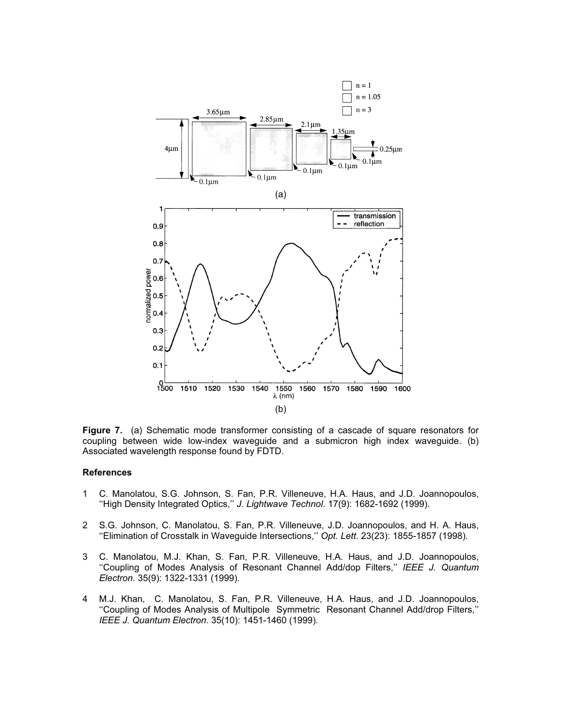

Figure 7. (a) Schematic mode transformer consisting of a cascade of square resonators for coupling between wide low-index waveguide and a submicron high index waveguide. (b) Associated wavelength response found by FDTD.

- 1 C. Manolatou, S.G. Johnson, S. Fan, P.R. Villeneuve, H.A. Haus, and J.D. Joannopoulos, "High Density Integrated Optics," J. Lightwave Technol. 17(9): 1682-1692 (1999).
- 2 S.G. Johnson, C. Manolatou, S. Fan, P.R. Villeneuve, J.D. Joannopoulos, and H. A. Haus, ''Elimination of Crosstalk in Waveguide Intersections,'' Opt. Lett. 23(23): 1855-1857 (1998).
- 3 C. Manolatou, M.J. Khan, S. Fan, P.R. Villeneuve, H.A. Haus, and J.D. Joannopoulos, ''Coupling of Modes Analysis of Resonant Channel Add/dop Filters,'' IEEE J. Quantum Electron. 35(9): 1322-1331 (1999).
- 4 M.J. Khan, C. Manolatou, S. Fan, P.R. Villeneuve, H.A. Haus, and J.D. Joannopoulos, ''Coupling of Modes Analysis of Multipole Symmetric Resonant Channel Add/drop Filters,'' IEEE J. Quantum Electron. 35(10): 1451-1460 (1999).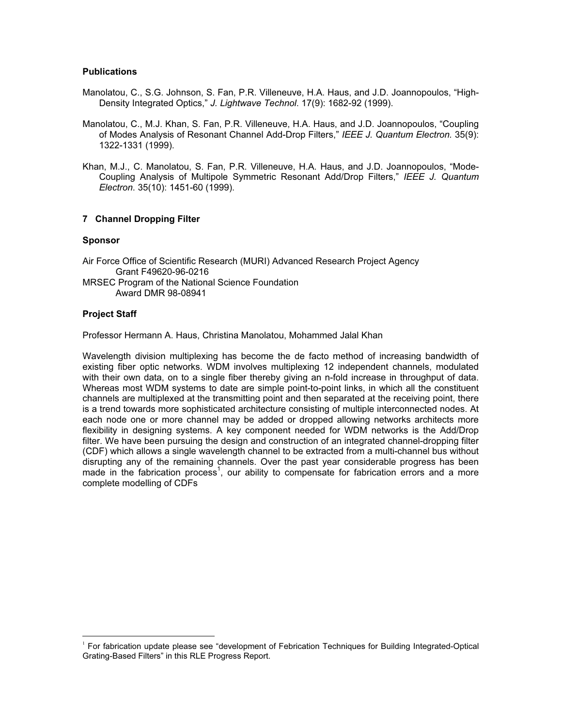### **Publications**

- Manolatou, C., S.G. Johnson, S. Fan, P.R. Villeneuve, H.A. Haus, and J.D. Joannopoulos, "High-Density Integrated Optics," J. Lightwave Technol. 17(9): 1682-92 (1999).
- Manolatou, C., M.J. Khan, S. Fan, P.R. Villeneuve, H.A. Haus, and J.D. Joannopoulos, "Coupling of Modes Analysis of Resonant Channel Add-Drop Filters," IEEE J. Quantum Electron. 35(9): 1322-1331 (1999).
- Khan, M.J., C. Manolatou, S. Fan, P.R. Villeneuve, H.A. Haus, and J.D. Joannopoulos, "Mode-Coupling Analysis of Multipole Symmetric Resonant Add/Drop Filters," IEEE J. Quantum Electron. 35(10): 1451-60 (1999).

# 7 Channel Dropping Filter

## Sponsor

Air Force Office of Scientific Research (MURI) Advanced Research Project Agency Grant F49620-96-0216 MRSEC Program of the National Science Foundation Award DMR 98-08941

## Project Staff

Professor Hermann A. Haus, Christina Manolatou, Mohammed Jalal Khan

Wavelength division multiplexing has become the de facto method of increasing bandwidth of existing fiber optic networks. WDM involves multiplexing 12 independent channels, modulated with their own data, on to a single fiber thereby giving an n-fold increase in throughput of data. Whereas most WDM systems to date are simple point-to-point links, in which all the constituent channels are multiplexed at the transmitting point and then separated at the receiving point, there is a trend towards more sophisticated architecture consisting of multiple interconnected nodes. At each node one or more channel may be added or dropped allowing networks architects more flexibility in designing systems. A key component needed for WDM networks is the Add/Drop filter. We have been pursuing the design and construction of an integrated channel-dropping filter (CDF) which allows a single wavelength channel to be extracted from a multi-channel bus without disrupting any of the remaining channels. Over the past year considerable progress has been made in the fabrication process<sup>1</sup>, our ability to compensate for fabrication errors and a more complete modelling of CDFs

<sup>1</sup> For fabrication update please see "development of Febrication Techniques for Building Integrated-Optical Grating-Based Filters" in this RLE Progress Report.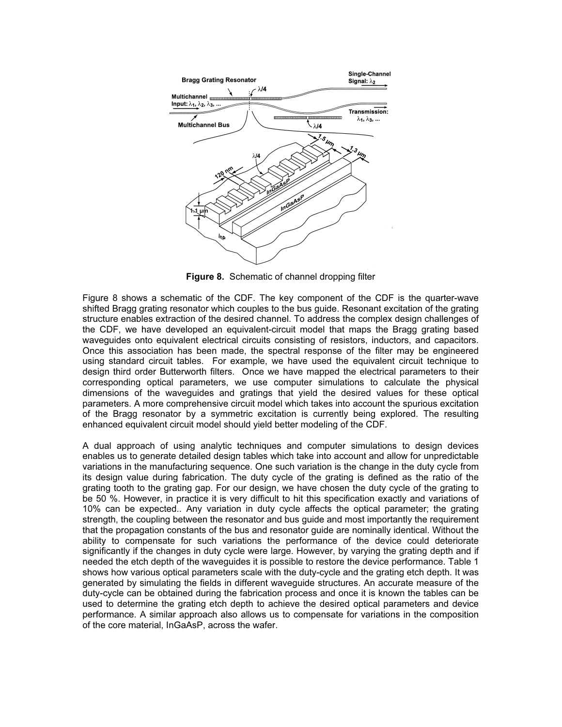

Figure 8. Schematic of channel dropping filter

Figure 8 shows a schematic of the CDF. The key component of the CDF is the quarter-wave shifted Bragg grating resonator which couples to the bus guide. Resonant excitation of the grating structure enables extraction of the desired channel. To address the complex design challenges of the CDF, we have developed an equivalent-circuit model that maps the Bragg grating based waveguides onto equivalent electrical circuits consisting of resistors, inductors, and capacitors. Once this association has been made, the spectral response of the filter may be engineered using standard circuit tables. For example, we have used the equivalent circuit technique to design third order Butterworth filters. Once we have mapped the electrical parameters to their corresponding optical parameters, we use computer simulations to calculate the physical dimensions of the waveguides and gratings that yield the desired values for these optical parameters. A more comprehensive circuit model which takes into account the spurious excitation of the Bragg resonator by a symmetric excitation is currently being explored. The resulting enhanced equivalent circuit model should yield better modeling of the CDF.

A dual approach of using analytic techniques and computer simulations to design devices enables us to generate detailed design tables which take into account and allow for unpredictable variations in the manufacturing sequence. One such variation is the change in the duty cycle from its design value during fabrication. The duty cycle of the grating is defined as the ratio of the grating tooth to the grating gap. For our design, we have chosen the duty cycle of the grating to be 50 %. However, in practice it is very difficult to hit this specification exactly and variations of 10% can be expected.. Any variation in duty cycle affects the optical parameter; the grating strength, the coupling between the resonator and bus guide and most importantly the requirement that the propagation constants of the bus and resonator guide are nominally identical. Without the ability to compensate for such variations the performance of the device could deteriorate significantly if the changes in duty cycle were large. However, by varying the grating depth and if needed the etch depth of the waveguides it is possible to restore the device performance. Table 1 shows how various optical parameters scale with the duty-cycle and the grating etch depth. It was generated by simulating the fields in different waveguide structures. An accurate measure of the duty-cycle can be obtained during the fabrication process and once it is known the tables can be used to determine the grating etch depth to achieve the desired optical parameters and device performance. A similar approach also allows us to compensate for variations in the composition of the core material, InGaAsP, across the wafer.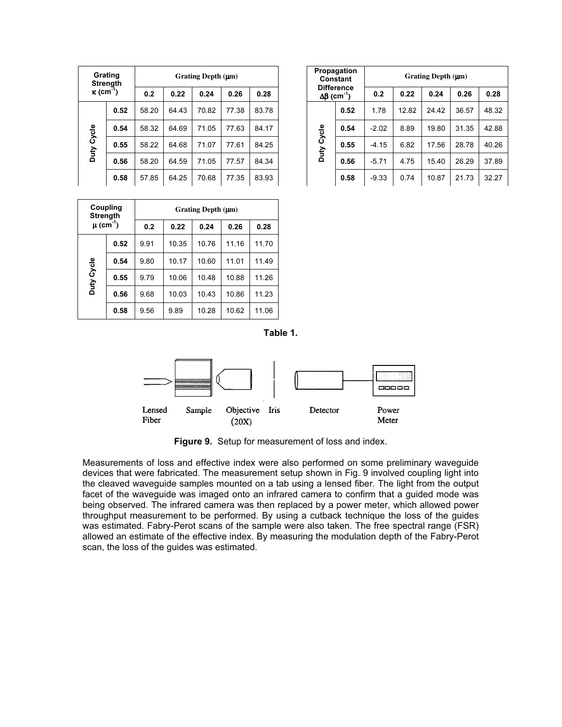| Grating<br><b>Strenath</b><br>$\kappa$ (cm <sup>-1</sup> ) |      |       |       | Grating Depth $(\mu m)$ |       |       | Propagation<br>Constant |                                                        |      | Grating Depth (µm) |       |       |      |
|------------------------------------------------------------|------|-------|-------|-------------------------|-------|-------|-------------------------|--------------------------------------------------------|------|--------------------|-------|-------|------|
|                                                            |      | 0.2   | 0.22  | 0.24                    | 0.26  | 0.28  |                         | <b>Difference</b><br>$\Delta\beta$ (cm <sup>-1</sup> ) |      | 0.2                | 0.22  | 0.24  | 0.2  |
| Duty Cycle                                                 | 0.52 | 58.20 | 64.43 | 70.82                   | 77.38 | 83.78 |                         | Cycle<br>Duty                                          | 0.52 | 1.78               | 12.82 | 24.42 | 36.5 |
|                                                            | 0.54 | 58.32 | 64.69 | 71.05                   | 77.63 | 84.17 |                         |                                                        | 0.54 | $-2.02$            | 8.89  | 19.80 | 31.3 |
|                                                            | 0.55 | 58.22 | 64.68 | 71.07                   | 77.61 | 84.25 |                         |                                                        | 0.55 | $-4.15$            | 6.82  | 17.56 | 28.7 |
|                                                            | 0.56 | 58.20 | 64.59 | 71.05                   | 77.57 | 84.34 |                         |                                                        | 0.56 | $-5.71$            | 4.75  | 15.40 | 26.2 |
|                                                            | 0.58 | 57.85 | 64.25 | 70.68                   | 77.35 | 83.93 |                         |                                                        | 0.58 | $-9.33$            | 0.74  | 10.87 | 21.7 |

| ıg<br>ıth |       |       | Grating Depth $(\mu m)$ |       |       | Propagation<br>Constant |                                                        | Grating Depth $(\mu m)$ |         |       |       |       |       |
|-----------|-------|-------|-------------------------|-------|-------|-------------------------|--------------------------------------------------------|-------------------------|---------|-------|-------|-------|-------|
|           | 0.2   | 0.22  | 0.24                    | 0.26  | 0.28  |                         | <b>Difference</b><br>$\Delta\beta$ (cm <sup>-1</sup> ) |                         | 0.2     | 0.22  | 0.24  | 0.26  | 0.28  |
| 0.52      | 58.20 | 64.43 | 70.82                   | 77.38 | 83.78 |                         |                                                        | 0.52                    | 1.78    | 12.82 | 24.42 | 36.57 | 48.32 |
| 0.54      | 58.32 | 64.69 | 71.05                   | 77.63 | 84.17 |                         | Cycle<br>Duty                                          | 0.54                    | $-2.02$ | 8.89  | 19.80 | 31.35 | 42.88 |
| 0.55      | 58.22 | 64.68 | 71.07                   | 77.61 | 84.25 |                         |                                                        | 0.55                    | $-4.15$ | 6.82  | 17.56 | 28.78 | 40.26 |
| 0.56      | 58.20 | 64.59 | 71.05                   | 77.57 | 84.34 |                         |                                                        | 0.56                    | $-5.71$ | 4.75  | 15.40 | 26.29 | 37.89 |
| 0.58      | 57.85 | 64.25 | 70.68                   | 77.35 | 83.93 |                         |                                                        | 0.58                    | $-9.33$ | 0.74  | 10.87 | 21.73 | 32.27 |

| <b>Strength</b>           | Coupling | Grating Depth $(\mu m)$ |       |       |       |       |  |  |  |  |
|---------------------------|----------|-------------------------|-------|-------|-------|-------|--|--|--|--|
| $\mu$ (cm <sup>-1</sup> ) |          | 0.2                     | 0.22  | 0.24  | 0.26  | 0.28  |  |  |  |  |
|                           | 0.52     | 9.91                    | 10.35 | 10.76 | 11.16 | 11.70 |  |  |  |  |
|                           | 0.54     | 9.80                    | 10.17 | 10.60 | 11.01 | 11.49 |  |  |  |  |
| Duty Cycle                | 0.55     | 9.79                    | 10.06 | 10.48 | 10.88 | 11.26 |  |  |  |  |
|                           | 0.56     | 9.68                    | 10.03 | 10.43 | 10.86 | 11.23 |  |  |  |  |
|                           | 0.58     | 9.56                    | 9.89  | 10.28 | 10.62 | 11.06 |  |  |  |  |

Table 1.



Figure 9. Setup for measurement of loss and index.

Measurements of loss and effective index were also performed on some preliminary waveguide devices that were fabricated. The measurement setup shown in Fig. 9 involved coupling light into the cleaved waveguide samples mounted on a tab using a lensed fiber. The light from the output facet of the waveguide was imaged onto an infrared camera to confirm that a guided mode was being observed. The infrared camera was then replaced by a power meter, which allowed power throughput measurement to be performed. By using a cutback technique the loss of the guides was estimated. Fabry-Perot scans of the sample were also taken. The free spectral range (FSR) allowed an estimate of the effective index. By measuring the modulation depth of the Fabry-Perot scan, the loss of the guides was estimated.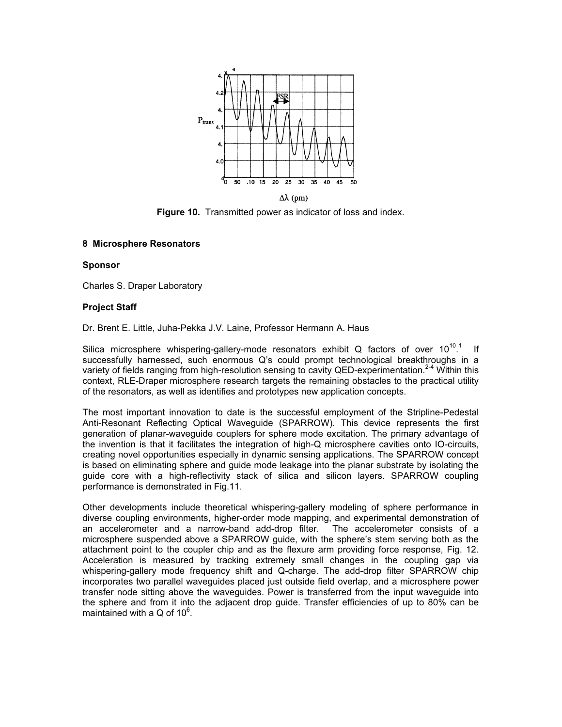

Figure 10. Transmitted power as indicator of loss and index.

## 8 Microsphere Resonators

### **Sponsor**

Charles S. Draper Laboratory

## Project Staff

Dr. Brent E. Little, Juha-Pekka J.V. Laine, Professor Hermann A. Haus

Silica microsphere whispering-gallery-mode resonators exhibit Q factors of over  $10^{10.1}$  If successfully harnessed, such enormous Q's could prompt technological breakthroughs in a variety of fields ranging from high-resolution sensing to cavity QED-experimentation.<sup>2-4</sup> Within this context, RLE-Draper microsphere research targets the remaining obstacles to the practical utility of the resonators, as well as identifies and prototypes new application concepts.

The most important innovation to date is the successful employment of the Stripline-Pedestal Anti-Resonant Reflecting Optical Waveguide (SPARROW). This device represents the first generation of planar-waveguide couplers for sphere mode excitation. The primary advantage of the invention is that it facilitates the integration of high-Q microsphere cavities onto IO-circuits, creating novel opportunities especially in dynamic sensing applications. The SPARROW concept is based on eliminating sphere and guide mode leakage into the planar substrate by isolating the guide core with a high-reflectivity stack of silica and silicon layers. SPARROW coupling performance is demonstrated in Fig.11.

Other developments include theoretical whispering-gallery modeling of sphere performance in diverse coupling environments, higher-order mode mapping, and experimental demonstration of an accelerometer and a narrow-band add-drop filter. The accelerometer consists of a microsphere suspended above a SPARROW guide, with the sphere's stem serving both as the attachment point to the coupler chip and as the flexure arm providing force response, Fig. 12. Acceleration is measured by tracking extremely small changes in the coupling gap via whispering-gallery mode frequency shift and Q-charge. The add-drop filter SPARROW chip incorporates two parallel waveguides placed just outside field overlap, and a microsphere power transfer node sitting above the waveguides. Power is transferred from the input waveguide into the sphere and from it into the adjacent drop guide. Transfer efficiencies of up to 80% can be maintained with a Q of  $10^6$ .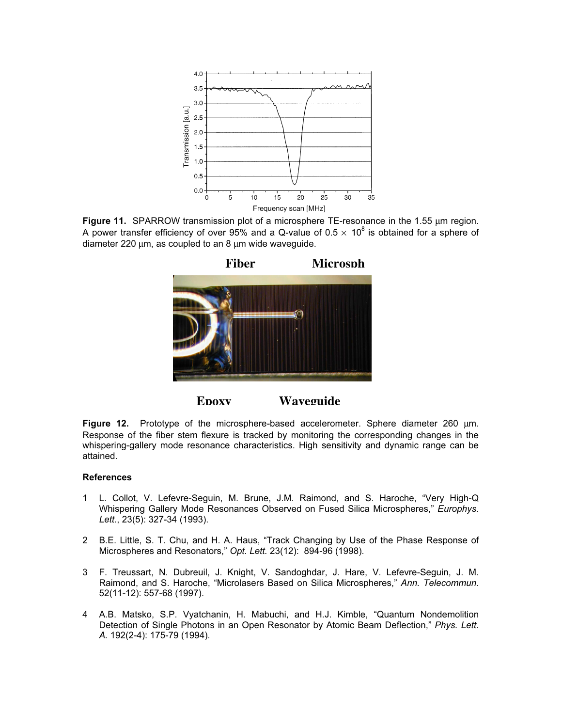

Figure 11. SPARROW transmission plot of a microsphere TE-resonance in the 1.55 µm region. A power transfer efficiency of over 95% and a Q-value of 0.5  $\times$  10<sup>8</sup> is obtained for a sphere of diameter 220 µm, as coupled to an 8 µm wide waveguide.



**Epoxy Waveguide**

Figure 12. Prototype of the microsphere-based accelerometer. Sphere diameter 260  $\mu$ m. Response of the fiber stem flexure is tracked by monitoring the corresponding changes in the whispering-gallery mode resonance characteristics. High sensitivity and dynamic range can be attained.

- 1 L. Collot, V. Lefevre-Seguin, M. Brune, J.M. Raimond, and S. Haroche, "Very High-Q Whispering Gallery Mode Resonances Observed on Fused Silica Microspheres," Europhys. Lett., 23(5): 327-34 (1993).
- 2 B.E. Little, S. T. Chu, and H. A. Haus, "Track Changing by Use of the Phase Response of Microspheres and Resonators," Opt. Lett. 23(12): 894-96 (1998).
- 3 F. Treussart, N. Dubreuil, J. Knight, V. Sandoghdar, J. Hare, V. Lefevre-Seguin, J. M. Raimond, and S. Haroche, "Microlasers Based on Silica Microspheres," Ann. Telecommun. 52(11-12): 557-68 (1997).
- 4 A.B. Matsko, S.P. Vyatchanin, H. Mabuchi, and H.J. Kimble, "Quantum Nondemolition Detection of Single Photons in an Open Resonator by Atomic Beam Deflection," Phys. Lett. A. 192(2-4): 175-79 (1994).